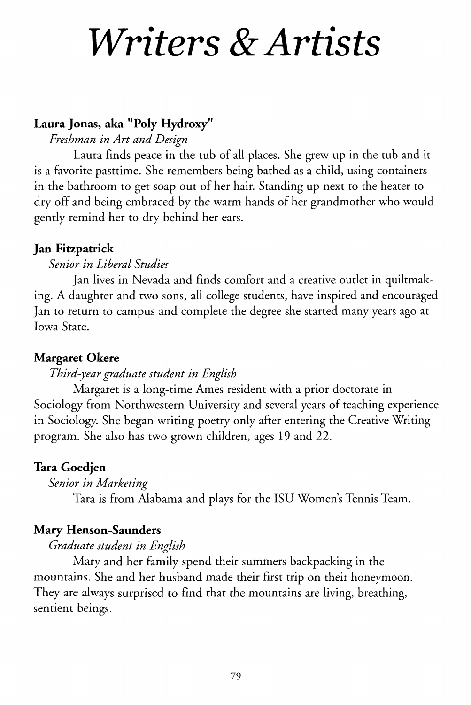# *Writers & Artists*

# **Laura Jonas, aka "Poly Hydroxy"**

# *Freshman in Art and Design*

Laura finds peace in the tub of all places. She grew up in the tub and it is a favorite pasttime. She remembers being bathed as a child, using containers in the bathroom to get soap out of her hair. Standing up next to the heater to dry off and being embraced by the warm hands of her grandmother who would gently remind her to dry behind her ears.

# **Jan Fitzpatrick**

# *Senior in Liberal Studies*

Jan lives in Nevada and finds comfort and a creative outlet in quiltmaking. A daughter and two sons, all college students, have inspired and encouraged Jan to return to campus and complete the degree she started many years ago at Iowa State.

# **Margaret Okere**

# *Third-year graduate student in English*

Margaret is a long-time Ames resident with a prior doctorate in Sociology from Northwestern University and several years of teaching experience in Sociology. She began writing poetry only after entering the Creative Writing program. She also has two grown children, ages 19 and 22.

# **Tara Goedjen**

# *Senior in Marketing*

Tara is from Alabama and plays for the ISU Women's Tennis Team.

# **Mary Henson-Saunders**

# *Graduate student in English*

Mary and her family spend their summers backpacking in the mountains. She and her husband made their first trip on their honeymoon. They are always surprised to find that the mountains are living, breathing, sentient beings.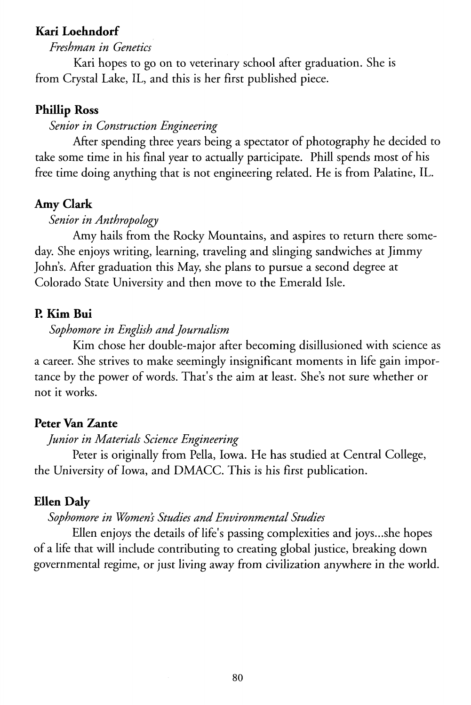### **Kari Loehndorf**

#### *Freshman in Genetics*

Kari hopes to go on to veterinary school after graduation. She is from Crystal Lake, IL, and this is her first published piece.

## **Phillip Ross**

#### *Senior in Construction Engineering*

After spending three years being a spectator of photography he decided to take some time in his final year to actually participate. Phill spends most of his free time doing anything that is not engineering related. He is from Palatine, IL.

#### **Amy Clark**

## *Senior in Anthropology*

Amy hails from the Rocky Mountains, and aspires to return there someday. She enjoys writing, learning, traveling and slinging sandwiches at Jimmy John's. After graduation this May, she plans to pursue a second degree at Colorado State University and then move to the Emerald Isle.

#### P. **Kim Bui**

#### *Sophomore in English and Journalism*

Kim chose her double-major after becoming disillusioned with science as a career. She strives to make seemingly insignificant moments in life gain importance by the power of words. That's the aim at least. She's not sure whether or not it works.

#### **Peter Van Zante**

## *Junior in Materials Science Engineering*

Peter is originally from Pella, Iowa. He has studied at Central College, the University of Iowa, and DMACC. This is his first publication.

#### **Ellen Daly**

## *Sophomore in Womens Studies and Environmental Studies*

Ellen enjoys the details of life's passing complexities and joys...she hopes of a life that will include contributing to creating global justice, breaking down governmental regime, or just living away from civilization anywhere in the world.